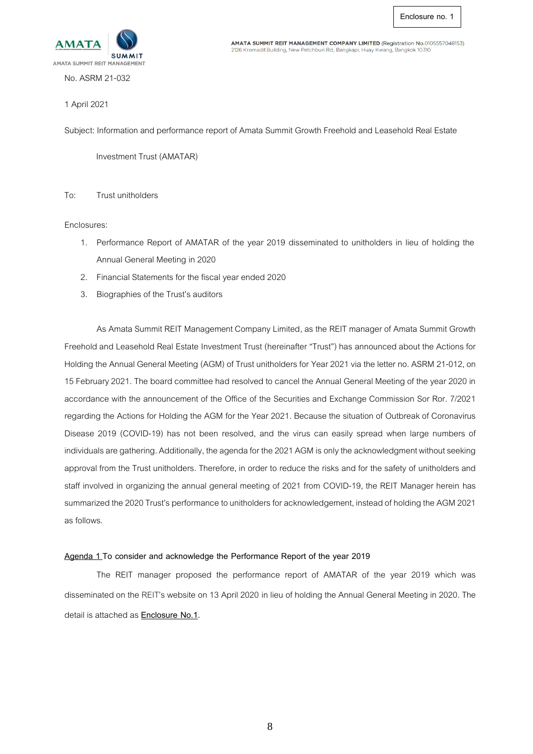

AMATA SUMMIT REIT MANAGEMENT COMPANY LIMITED (Registration No.0105557048153) 2126 Kromadit Building, New Petchburi Rd., Bangkapi, Huay Kwang, Bangkok 10310

No. ASRM 21-032

#### 1 April2021

Subject: Information and performance report of Amata Summit Growth Freehold and Leasehold Real Estate

Investment Trust (AMATAR)

### To: Trust unitholders

Enclosures:

- 1. Performance Report of AMATAR of the year 2019 disseminated to unitholders in lieu of holding the Annual General Meeting in 2020
- 2. Financial Statements for the fiscal year ended 2020
- 3. Biographies of the Trust's auditors

As Amata Summit REIT Management Company Limited, as the REIT manager of Amata Summit Growth Freehold and Leasehold Real Estate Investment Trust (hereinafter "Trust")has announced about the Actions for Holding the Annual General Meeting (AGM) of Trust unitholders for Year 2021 via the letter no. ASRM 21-012, on 15February 2021. The board committee had resolved to cancel the Annual General Meeting of the year 2020 in accordance with the announcement of the Office of the Securities and Exchange Commission Sor Ror. 7/2021 regarding the Actions for Holding the AGM for the Year 2021. Because the situation of Outbreak of Coronavirus Disease 2019 (COVID-19) has not been resolved, and the virus can easily spread when large numbers of individuals are gathering. Additionally, the agenda for the 2021 AGM is only the acknowledgment without seeking approval from the Trust unitholders. Therefore, in order to reduce the risks and for the safety of unitholders and staff involved in organizing the annual general meeting of 2021 from COVID-19, the REIT Manager herein has summarized the 2020 Trust's performance to unitholders for acknowledgement, instead of holding the AGM 2021 as follows.

## **Agenda 1 To consider and acknowledge the Performance Report of the year 2019**

The REIT manager proposed the performance report of AMATAR of the year 2019 which was disseminated on the REIT's website on 13 April 2020 in lieu of holding the Annual General Meeting in 2020. The detail is attached as **Enclosure No.1.**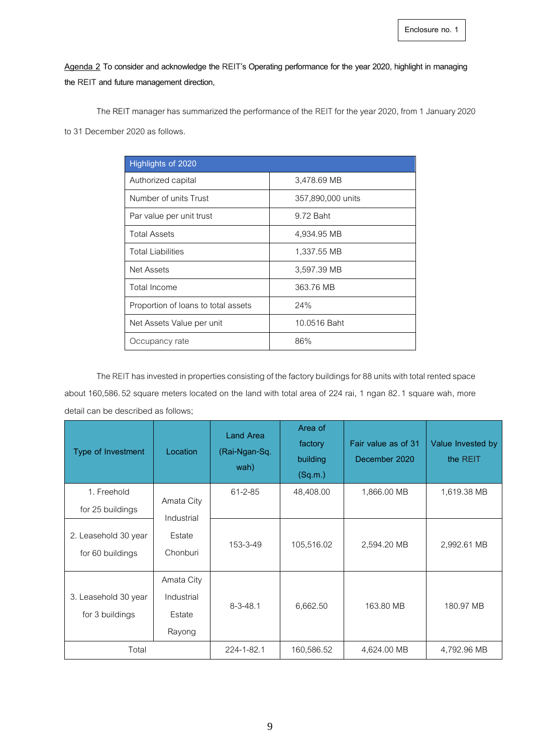**Agenda 2 To consider and acknowledge the REIT's Operating performance for the year 2020, highlight in managing the REIT and future management direction,**

The REIT manager has summarized the performance of the REIT for the year 2020, from 1 January 2020

to 31 December 2020 as follows.

| Highlights of 2020                  |                   |
|-------------------------------------|-------------------|
| Authorized capital                  | 3,478.69 MB       |
| Number of units Trust               | 357,890,000 units |
| Par value per unit trust            | 9.72 Baht         |
| <b>Total Assets</b>                 | 4,934.95 MB       |
| <b>Total Liabilities</b>            | 1,337.55 MB       |
| Net Assets                          | 3,597.39 MB       |
| Total Income                        | 363.76 MB         |
| Proportion of loans to total assets | 24%               |
| Net Assets Value per unit           | 10.0516 Baht      |
| Occupancy rate                      | 86%               |

The REIT has invested in properties consisting of the factory buildings for 88 units with total rented space about 160,586.52 square meters located on the land with total area of 224 rai, 1 ngan 82.1 square wah, more detail can be described as follows;

| Type of Investment                       | Location                                     | <b>Land Area</b><br>(Rai-Ngan-Sq.<br>wah) | Area of<br>factory<br>building<br>(Sq.m.) | Fair value as of 31<br>December 2020 | Value Invested by<br>the REIT |
|------------------------------------------|----------------------------------------------|-------------------------------------------|-------------------------------------------|--------------------------------------|-------------------------------|
| 1. Freehold<br>for 25 buildings          | Amata City<br>Industrial                     | $61 - 2 - 85$                             | 48,408.00                                 | 1,866.00 MB                          | 1,619.38 MB                   |
| 2. Leasehold 30 year<br>for 60 buildings | Estate<br>Chonburi                           | 153-3-49                                  | 105,516.02                                | 2,594.20 MB                          | 2,992.61 MB                   |
| 3. Leasehold 30 year<br>for 3 buildings  | Amata City<br>Industrial<br>Estate<br>Rayong | $8 - 3 - 48.1$                            | 6,662.50                                  | 163.80 MB                            | 180.97 MB                     |
| Total                                    |                                              | 224-1-82.1                                | 160,586.52                                | 4,624.00 MB                          | 4,792.96 MB                   |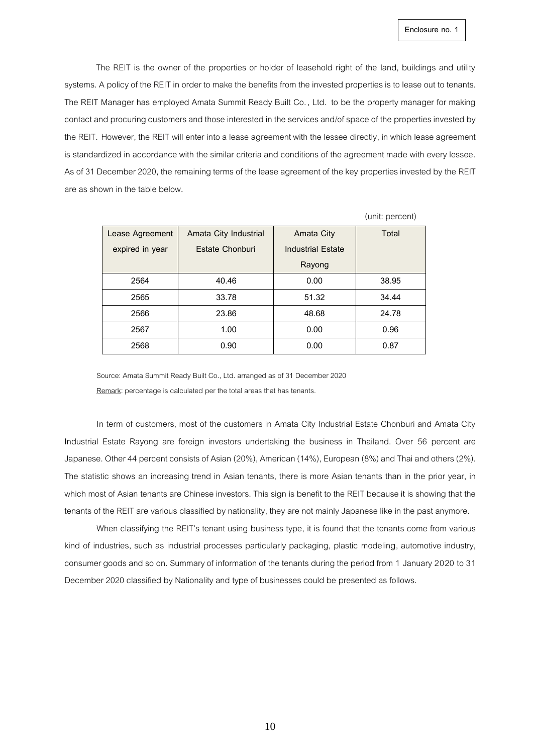The REIT is the owner of the properties or holder of leasehold right of the land, buildings and utility systems. A policy of the REIT in order to make the benefits from the invested properties is to lease out to tenants. The REIT Manager has employed Amata Summit Ready Built Co. , Ltd. to be the property manager for making contact and procuring customers and those interested in the services and/of space of the properties invested by the REIT. However, the REIT will enter into a lease agreement with the lessee directly, in which lease agreement is standardized in accordance with the similar criteria and conditions of the agreement made with every lessee. As of 31 December 2020, the remaining terms of the lease agreement of the key properties invested by the REIT are as shown in the table below**.**

|                 |                       |                          | (unit: percent) |
|-----------------|-----------------------|--------------------------|-----------------|
| Lease Agreement | Amata City Industrial | <b>Amata City</b>        | Total           |
| expired in year | Estate Chonburi       | <b>Industrial Estate</b> |                 |
|                 |                       | Rayong                   |                 |
| 2564            | 40.46                 | 0.00                     | 38.95           |
| 2565            | 33.78                 | 51.32                    | 34.44           |
| 2566            | 23.86                 | 48.68                    | 24.78           |
| 2567            | 1.00                  | 0.00                     | 0.96            |
| 2568            | 0.90                  | 0.00                     | 0.87            |

Source: Amata Summit Ready Built Co., Ltd. arranged as of 31 December 2020 Remark: percentage is calculated per the total areas that has tenants.

In term of customers, most of the customers in Amata City Industrial Estate Chonburi and Amata City Industrial Estate Rayong are foreign investors undertaking the business in Thailand. Over 56 percent are Japanese. Other 44 percent consists of Asian (20%), American (14%), European (8%) and Thai and others (2%). The statistic shows an increasing trend in Asian tenants, there is more Asian tenants than in the prior year, in which most of Asian tenants are Chinese investors. This sign is benefit to the REIT because it is showing that the tenants of the REITare various classified by nationality, they are not mainly Japanese like in the past anymore.

When classifying the REIT's tenant using business type, it is found that the tenants come from various kind of industries, such as industrial processes particularly packaging, plastic modeling, automotive industry, consumer goods and so on. Summary of information of the tenants during the period from 1 January 2020 to 31 December 2020 classified by Nationality and type of businesses could be presented as follows.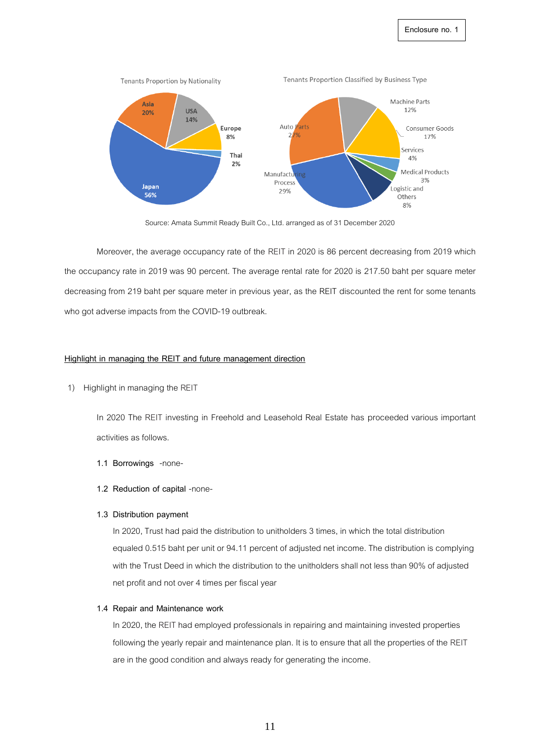

Source: Amata Summit Ready Built Co., Ltd. arranged as of 31 December 2020

Moreover, the average occupancy rate of the REIT in 2020 is 86 percent decreasing from 2019 which the occupancy rate in 2019 was 90 percent. The average rental rate for 2020 is 217.50 baht per square meter decreasing from 219 baht per square meter in previous year, as the REIT discounted the rent for some tenants who got adverse impacts from the COVID-19 outbreak.

#### **Highlight in managing the REIT and future management direction**

1) Highlight in managing the REIT

In 2020 The REIT investing in Freehold and Leasehold Real Estate has proceeded various important activities as follows.

- **1.1 Borrowings** -none-
- **1.2 Reduction of capital** -none-

#### **1.3 Distribution payment**

In 2020, Trust had paid the distribution to unitholders 3 times, in which the total distribution equaled 0.515 baht per unit or 94.11 percent of adjusted net income. The distribution is complying with the Trust Deed in which the distribution to the unitholders shall not less than 90% of adjusted net profit and not over 4 times per fiscal year

#### **1.4 Repair and Maintenance work**

In 2020, the REIT had employed professionals in repairing and maintaining invested properties following the yearly repair and maintenance plan. It is to ensure that all the properties of the REIT are in the good condition and always ready for generating the income.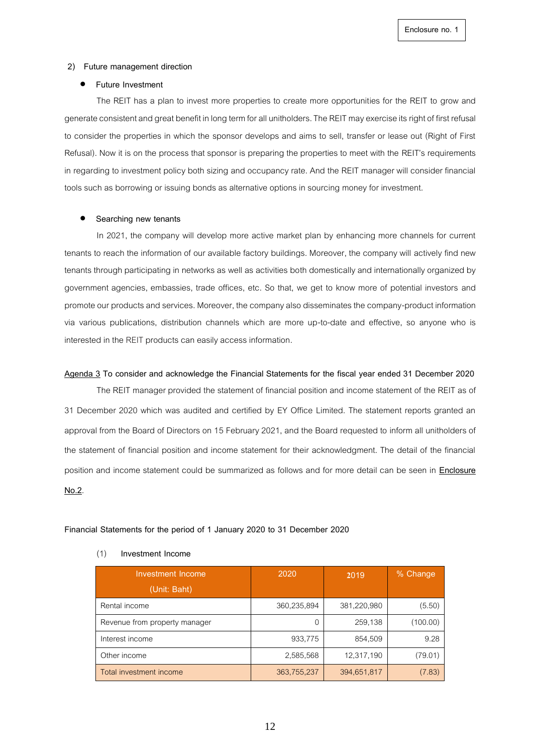#### **2) Future management direction**

#### • **Future Investment**

The REIT has a plan to invest more properties to create more opportunities for the REIT to grow and generate consistent and great benefit in long term for all unitholders. The REIT may exercise itsrightof first refusal to consider the properties in which the sponsor develops and aims to sell, transfer or lease out (Right of First Refusal). Now it is on the process that sponsor is preparing the properties to meet with the REIT's requirements in regarding to investment policy both sizing and occupancy rate. And the REIT manager will consider financial tools such as borrowing or issuing bonds as alternative options in sourcing money for investment.

#### • **Searching new tenants**

In 2021, the company will develop more active market plan by enhancing more channels for current tenants to reach the information of our available factory buildings. Moreover, the company will actively find new tenants through participating in networks as well as activities both domestically and internationally organized by government agencies, embassies, trade offices, etc. So that, we get to know more of potential investors and promote our products and services. Moreover, the company also disseminates the company-product information via various publications, distribution channels which are more up-to-date and effective, so anyone who is interested in the REIT products can easily access information.

#### **Agenda 3 To consider and acknowledge the Financial Statements for the fiscal year ended 31 December 2020**

The REIT manager provided the statement of financial position and income statement of the REIT as of 31 December 2020 which was audited and certified by EY Office Limited. The statement reports granted an approval from the Board of Directors on 15 February 2021, and the Board requested to inform all unitholders of the statement of financial position and income statement for their acknowledgment. The detail of the financial position and income statement could be summarized as follows and for more detail can be seen in **Enclosure No.2**.

#### **Financial Statements for the period of 1 January 2020 to 31 December 2020**

| Investment Income<br>(Unit: Baht) | 2020        | 2019        | % Change |
|-----------------------------------|-------------|-------------|----------|
| Rental income                     | 360,235,894 | 381,220,980 | (5.50)   |
| Revenue from property manager     |             | 259,138     | (100.00) |
| Interest income                   | 933,775     | 854,509     | 9.28     |
| Other income                      | 2,585,568   | 12,317,190  | (79.01)  |
| Total investment income           | 363,755,237 | 394,651,817 | (7.83)   |

#### (1) **Investment Income**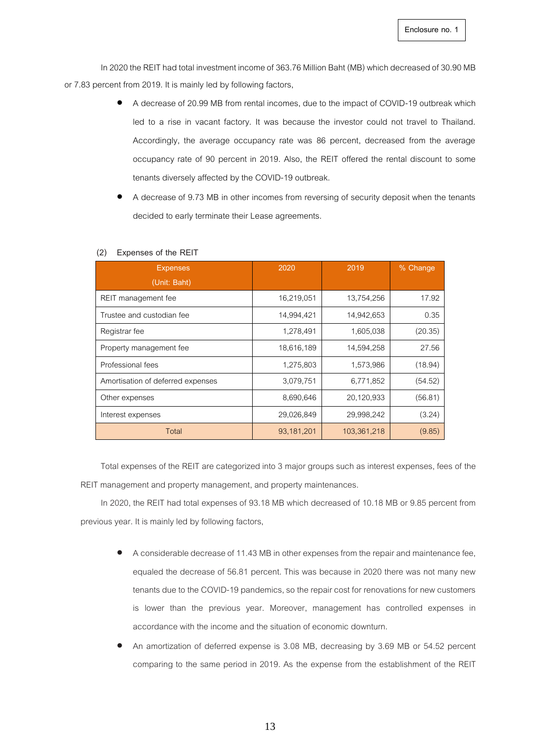In 2020 the REIT had total investment income of 363.76 Million Baht (MB) which decreased of 30.90 MB or 7.83 percent from 2019. It is mainly led by following factors,

- A decrease of 20.99 MB from rental incomes, due to the impact of COVID-19 outbreak which led to a rise in vacant factory. It was because the investor could not travel to Thailand. Accordingly, the average occupancy rate was 86 percent, decreased from the average occupancy rate of 90 percent in 2019. Also, the REIT offered the rental discount to some tenants diversely affected by the COVID-19 outbreak.
- A decrease of 9.73 MB in other incomes from reversing of security deposit when the tenants decided to early terminate their Lease agreements.

| <b>Expenses</b>                   | 2020       | 2019        | % Change |
|-----------------------------------|------------|-------------|----------|
| (Unit: Baht)                      |            |             |          |
| REIT management fee               | 16,219,051 | 13,754,256  | 17.92    |
| Trustee and custodian fee         | 14,994,421 | 14,942,653  | 0.35     |
| Registrar fee                     | 1,278,491  | 1,605,038   | (20.35)  |
| Property management fee           | 18,616,189 | 14,594,258  | 27.56    |
| Professional fees                 | 1,275,803  | 1,573,986   | (18.94)  |
| Amortisation of deferred expenses | 3,079,751  | 6,771,852   | (54.52)  |
| Other expenses                    | 8,690,646  | 20,120,933  | (56.81)  |
| Interest expenses                 | 29,026,849 | 29,998,242  | (3.24)   |
| Total                             | 93,181,201 | 103,361,218 | (9.85)   |

#### **(2) Expenses of the REIT**

Total expenses of the REIT are categorized into 3 major groups such as interest expenses, fees of the REIT management and property management, and property maintenances.

In 2020, the REIT had total expenses of 93.18 MB which decreased of 10.18 MB or 9.85 percent from previous year. It is mainly led by following factors,

- A considerable decrease of 11.43 MB in other expensesfrom the repairand maintenance fee, equaled the decrease of 56.81 percent. This was because in 2020 there was not many new tenants due to the COVID-19 pandemics, so the repair cost for renovations for new customers is lower than the previous year. Moreover, management has controlled expenses in accordance with the income and the situation of economic downturn.
- An amortization of deferred expense is 3.08 MB, decreasing by 3.69 MB or 54.52 percent comparing to the same period in 2019. As the expense from the establishment of the REIT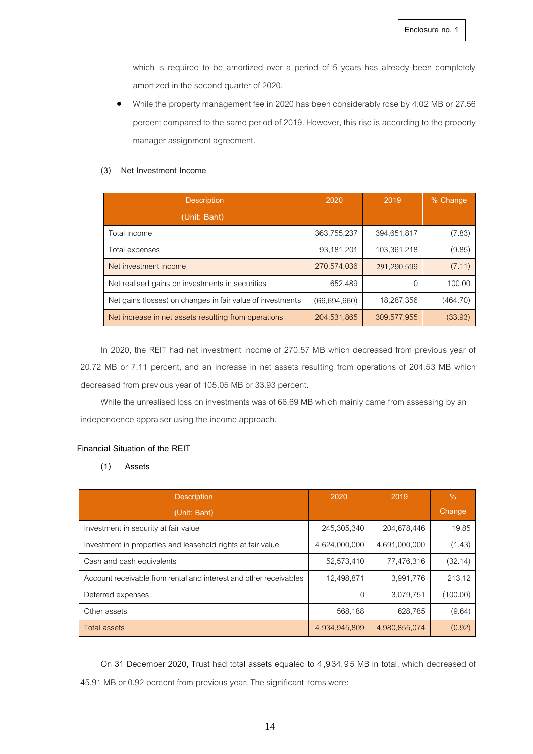which is required to be amortized over a period of 5 years has already been completely amortized in the second quarter of 2020.

• While the property management fee in 2020 has been considerably rose by 4.02 MB or 27.56 percent compared to the same period of 2019. However, this rise is according to the property manager assignment agreement.

#### **(3) Net Investment Income**

| <b>Description</b>                                         | 2020           | 2019        | % Change |
|------------------------------------------------------------|----------------|-------------|----------|
| (Unit: Baht)                                               |                |             |          |
| Total income                                               | 363,755,237    | 394,651,817 | (7.83)   |
| Total expenses                                             | 93,181,201     | 103,361,218 | (9.85)   |
| Net investment income                                      | 270,574,036    | 291,290,599 | (7.11)   |
| Net realised gains on investments in securities            | 652,489        |             | 100.00   |
| Net gains (losses) on changes in fair value of investments | (66, 694, 660) | 18,287,356  | (464.70) |
| Net increase in net assets resulting from operations       | 204,531,865    | 309,577,955 | (33.93)  |

In 2020, the REIT had net investment income of 270.57 MB which decreased from previous year of 20.72 MB or 7.11 percent, and an increase in net assets resulting from operations of 204.53 MB which decreased from previous year of 105.05 MB or 33.93 percent.

While the unrealised loss on investments was of 66.69 MB which mainly came from assessing by an independence appraiser using the income approach.

### **Financial Situation of the REIT**

#### **(1) Assets**

| <b>Description</b>                                                | 2020          | 2019          | $\%$     |
|-------------------------------------------------------------------|---------------|---------------|----------|
| (Unit: Baht)                                                      |               |               | Change   |
| Investment in security at fair value                              | 245,305,340   | 204,678,446   | 19.85    |
| Investment in properties and leasehold rights at fair value       | 4,624,000,000 | 4,691,000,000 | (1.43)   |
| Cash and cash equivalents                                         | 52,573,410    | 77,476,316    | (32.14)  |
| Account receivable from rental and interest and other receivables | 12,498,871    | 3,991,776     | 213.12   |
| Deferred expenses                                                 | O             | 3,079,751     | (100.00) |
| Other assets                                                      | 568,188       | 628,785       | (9.64)   |
| Total assets                                                      | 4,934,945,809 | 4,980,855,074 | (0.92)   |

On 31 December 2020, Trust had total assets equaled to 4,934. 95 MB in total, which decreased of 45.91 MB or 0.92 percent from previous year.The significant items were: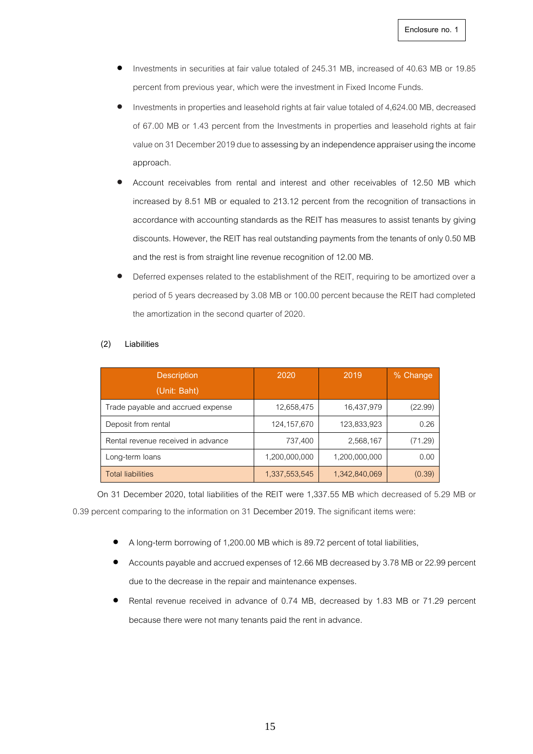- Investments in securities at fair value totaled of 245.31 MB, increased of 40.63 MB or 19.85 percent from previous year, which were the investment in Fixed Income Funds.
- Investments in properties and leasehold rights at fair value totaled of 4,624.00 MB, decreased of 67.00 MB or 1.43 percent from the Investments in properties and leasehold rights at fair value on 31 December 2019 due to assessing by an independence appraiser using the income approach.
- Account receivables from rental and interest and other receivables of 12.50 MB which increased by 8.51 MB or equaled to 213.12 percent from the recognition of transactions in accordance with accounting standards as the REIT has measures to assist tenants by giving discounts. However, the REIT has real outstanding payments from the tenants of only 0.50 MB and the rest is from straight line revenue recognition of 12.00 MB.
- Deferred expenses related to the establishment of the REIT, requiring to be amortized over a period of 5 years decreased by 3.08 MB or 100.00 percent because the REIT had completed the amortization in the second quarter of 2020.

#### **(2) Liabilities**

| <b>Description</b>                 | 2020          | 2019          | % Change |
|------------------------------------|---------------|---------------|----------|
| (Unit: Baht)                       |               |               |          |
| Trade payable and accrued expense  | 12,658,475    | 16,437,979    | (22.99)  |
| Deposit from rental                | 124, 157, 670 | 123,833,923   | 0.26     |
| Rental revenue received in advance | 737,400       | 2,568,167     | (71.29)  |
| Long-term loans                    | 1,200,000,000 | 1,200,000,000 | 0.00     |
| <b>Total liabilities</b>           | 1,337,553,545 | 1,342,840,069 | (0.39)   |

On 31 December 2020, total liabilities of the REIT were 1,337.55 MB which decreased of 5.29 MB or 0.39 percent comparing to the information on 31 December 2019. The significant items were:

- A long-term borrowing of 1,200.00 MB which is 89.72 percent of total liabilities,
- Accounts payable and accrued expenses of 12.66 MB decreased by 3.78 MB or 22.99 percent due to the decrease in the repair and maintenance expenses.
- Rental revenue received in advance of 0.74 MB, decreased by 1.83 MB or 71.29 percent because there were not many tenants paid the rent in advance.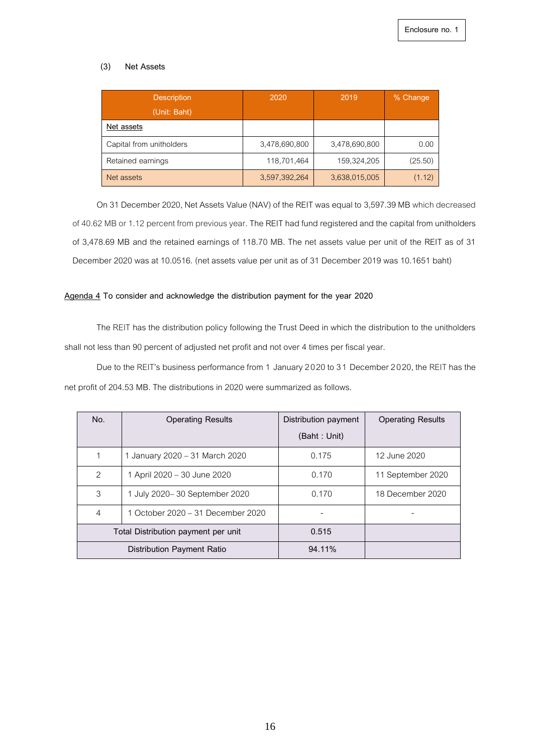## **(3) Net Assets**

| <b>Description</b><br>(Unit: Baht) | 2020          | 2019          | % Change |
|------------------------------------|---------------|---------------|----------|
| Net assets                         |               |               |          |
| Capital from unitholders           | 3,478,690,800 | 3,478,690,800 | 0.00     |
| Retained earnings                  | 118,701,464   | 159,324,205   | (25.50)  |
| Net assets                         | 3,597,392,264 | 3,638,015,005 | (1.12)   |

On 31 December 2020, Net Assets Value (NAV) of the REIT was equal to 3,597.39 MB which decreased of 40.62 MB or 1.12 percent from previous year. The REIT had fund registered and the capital from unitholders of 3,478.69 MB and the retained earnings of 118.70 MB. The net assets value per unit of the REIT as of 31 December 2020 was at 10.0516. (net assets value per unit as of 31 December 2019 was 10.1651 baht)

### **Agenda 4 To consider and acknowledge the distribution payment for the year 2020**

The REIT has the distribution policy following the Trust Deed in which the distribution to the unitholders shall not less than 90 percent of adjusted net profit and not over 4 times per fiscal year.

Due to the REIT's business performance from 1 January 2020 to 31 December 2020, the REIT has the net profit of 204.53 MB. The distributions in 2020 were summarized as follows.

| No.           | <b>Operating Results</b>            | Distribution payment | <b>Operating Results</b> |
|---------------|-------------------------------------|----------------------|--------------------------|
|               |                                     | (Baht: Unit)         |                          |
| 1             | 1 January 2020 - 31 March 2020      | 0.175                | 12 June 2020             |
| $\mathcal{P}$ | 1 April 2020 - 30 June 2020         | 0.170                | 11 September 2020        |
| 3             | 1 July 2020–30 September 2020       | 0.170                | 18 December 2020         |
| 4             | 1 October 2020 – 31 December 2020   |                      |                          |
|               | Total Distribution payment per unit | 0.515                |                          |
|               | Distribution Payment Ratio          | 94.11%               |                          |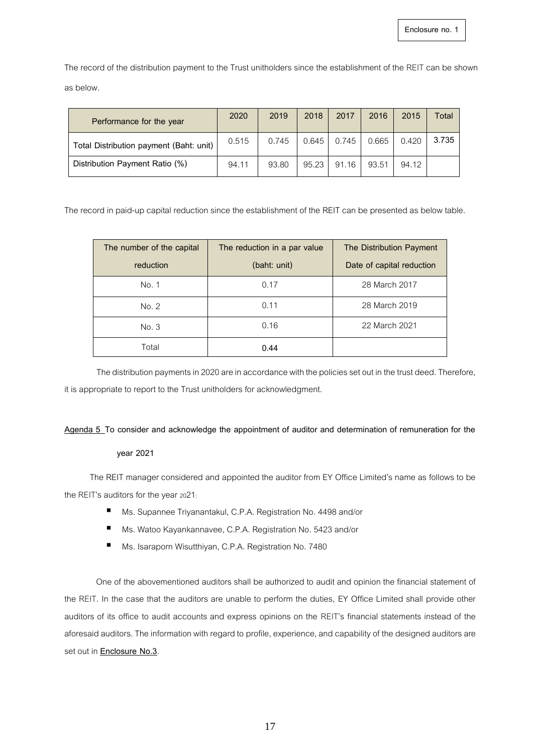The record of the distribution payment to the Trust unitholders since the establishment of the REIT can be shown as below.

| Performance for the year                | 2020  | 2019  | 2018  | 2017  | 2016  | 2015  | Total |
|-----------------------------------------|-------|-------|-------|-------|-------|-------|-------|
| Total Distribution payment (Baht: unit) | 0.515 | 0.745 | 0.645 | 0.745 | 0.665 | 0.420 | 3.735 |
| Distribution Payment Ratio (%)          | 94.11 | 93.80 | 95.23 | 91.16 | 93.51 | 94.12 |       |

The record in paid-up capital reduction since the establishment of the REIT can be presented as below table.

| The number of the capital | The reduction in a par value | The Distribution Payment  |
|---------------------------|------------------------------|---------------------------|
| reduction                 | (baht: unit)                 | Date of capital reduction |
| No. 1                     | 0.17                         | 28 March 2017             |
| No. 2                     | 0.11                         | 28 March 2019             |
| No. 3                     | 0.16                         | 22 March 2021             |
| Total                     | 0.44                         |                           |

The distribution payments in 2020 are in accordance with the policies set out in the trust deed. Therefore, it is appropriate to report to the Trust unitholders for acknowledgment.

#### **Agenda 5 To consider and acknowledge the appointment of auditor and determination of remuneration for the**

## **year 2021**

The REIT manager considered and appointed the auditor from EY Office Limited's name as follows to be the REIT's auditors for the year 2021:

- Ms. Supannee Triyanantakul, C.P.A. Registration No. 4498 and/or
- Ms. Watoo Kayankannavee, C.P.A. Registration No. 5423 and/or
- Ms. Isaraporn Wisutthiyan, C.P.A. Registration No. 7480

One of the abovementioned auditors shall be authorized to audit and opinion the financial statement of the REIT. In the case that the auditors are unable to perform the duties, EY Office Limited shall provide other auditors of its office to audit accounts and express opinions on the REIT's financial statements instead of the aforesaid auditors. The information with regard to profile, experience, and capability of the designed auditors are set out in **Enclosure No.3**.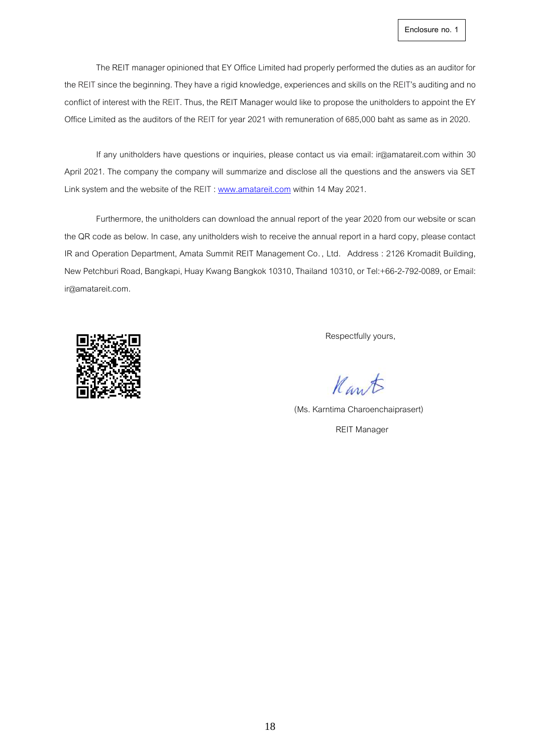The REIT manager opinioned that EY Office Limited had properly performed the duties as an auditor for the REIT since the beginning. They have a rigid knowledge, experiences and skills on the REIT's auditing and no conflict of interest with the REIT. Thus, the REIT Manager would like to propose the unitholders to appoint the EY Office Limited as the auditors of the REIT for year 2021 with remuneration of 685,000 baht as same as in 2020.

If any unitholders have questions or inquiries, please contact us via email: ir@amatareit.com within 30 April 2021. The company the company will summarize and disclose all the questions and the answers via SET Link system and the website of the REIT[: www.amatareit.com](http://www.amatareit.com/) within 14 May 2021.

Furthermore, the unitholders can download the annual report of the year 2020 from our website or scan the QR code as below. In case, any unitholders wish to receive the annual report in a hard copy, please contact IR and Operation Department, Amata Summit REIT Management Co. , Ltd. Address : 2126 Kromadit Building, New Petchburi Road, Bangkapi, Huay Kwang Bangkok 10310, Thailand 10310, or Tel:+66-2-792-0089,or Email: ir@amatareit.com.



Respectfully yours,

Kant

(Ms. Karntima Charoenchaiprasert) REIT Manager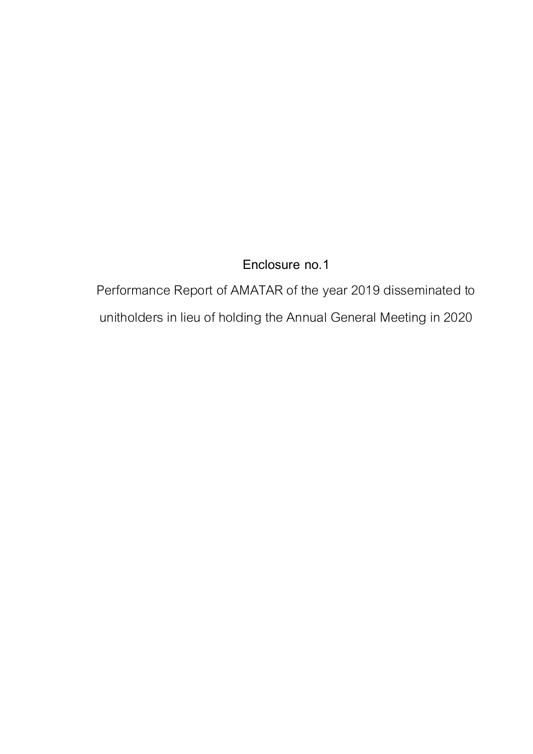Performance Report of AMATAR of the year 2019 disseminated to unitholders in lieu of holding the Annual General Meeting in 2020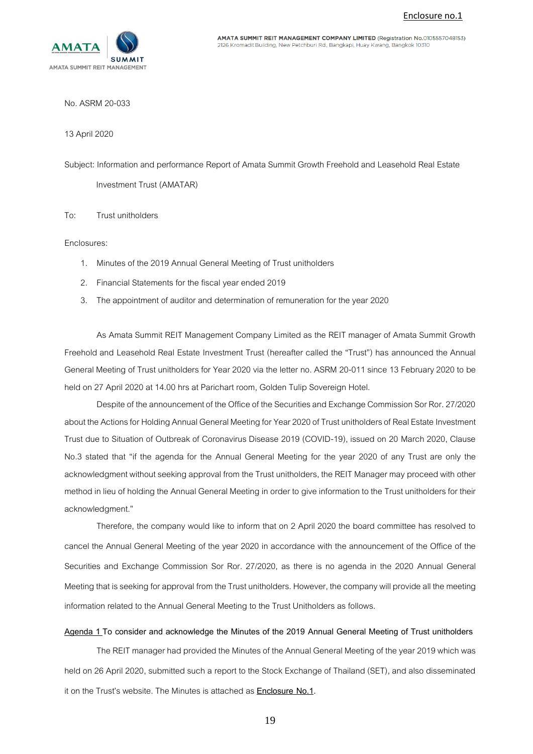

AMATA SUMMIT REIT MANAGEMENT COMPANY LIMITED (Registration No.0105557048153) 2126 Kromadit Building, New Petchburi Rd., Bangkapi, Huay Kwang, Bangkok 10310

No. ASRM 20-033

13 April2020

Subject: Information and performance Report of Amata Summit Growth Freehold and Leasehold Real Estate

Investment Trust (AMATAR)

To: Trust unitholders

Enclosures:

- 1. Minutes of the 2019 Annual General Meeting of Trust unitholders
- 2. Financial Statements for the fiscal year ended 2019
- 3. The appointment of auditor and determination of remuneration for the year 2020

As Amata Summit REIT Management Company Limited as the REIT manager of Amata Summit Growth Freehold and Leasehold Real Estate Investment Trust (hereafter called the "Trust") has announced the Annual General Meeting of Trust unitholders for Year 2020 via the letter no. ASRM 20-011 since 13 February 2020 to be held on 27 April 2020 at 14.00 hrs at Parichart room, Golden Tulip Sovereign Hotel.

Despite of the announcement of the Office of the Securities and Exchange Commission Sor Ror. 27/2020 about the Actions for Holding Annual General Meeting for Year 2020 of Trust unitholders of Real Estate Investment Trust due to Situation of Outbreak of Coronavirus Disease 2019 (COVID-19), issued on 20 March 2020, Clause No.3 stated that "if the agenda for the Annual General Meeting for the year 2020 of any Trust are only the acknowledgment without seeking approval from the Trust unitholders, the REIT Manager may proceed with other method in lieu of holding the Annual General Meeting in order to give information to the Trust unitholders for their acknowledgment."

Therefore, the company would like to inform that on 2 April 2020 the board committee has resolved to cancel the Annual General Meeting of the year 2020 in accordance with the announcement of the Office of the Securities and Exchange Commission Sor Ror. 27/2020, as there is no agenda in the 2020 Annual General Meeting that is seeking for approval from the Trust unitholders. However, the company will provide all the meeting information related to the Annual General Meeting to the Trust Unitholdersas follows.

## **Agenda 1 To consider and acknowledge the Minutes of the 2019 Annual General Meeting of Trust unitholders**

The REIT manager had provided the Minutes of the Annual General Meeting of the year 2019 which was held on 26 April 2020, submitted such a report to the Stock Exchange of Thailand (SET), and also disseminated it on the Trust's website. The Minutes is attached as **Enclosure No.1.**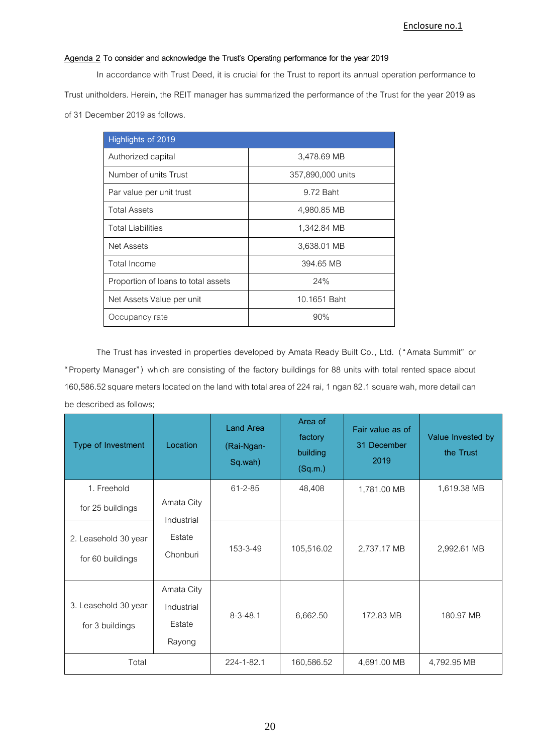## **Agenda 2 To consider and acknowledge the Trust's Operating performance for the year 2019**

In accordance with Trust Deed, it is crucial for the Trust to report its annual operation performance to Trust unitholders. Herein, the REIT manager has summarized the performance of the Trust for the year 2019 as of 31 December 2019 as follows.

| Highlights of 2019                  |                   |
|-------------------------------------|-------------------|
| Authorized capital                  | 3,478.69 MB       |
| Number of units Trust               | 357,890,000 units |
| Par value per unit trust            | 9.72 Baht         |
| <b>Total Assets</b>                 | 4,980.85 MB       |
| <b>Total Liabilities</b>            | 1,342.84 MB       |
| <b>Net Assets</b>                   | 3,638.01 MB       |
| Total Income                        | 394.65 MB         |
| Proportion of loans to total assets | 24%               |
| Net Assets Value per unit           | 10.1651 Baht      |
| Occupancy rate                      | 90%               |

The Trust has invested in properties developed by Amata Ready Built Co. , Ltd. ( "Amata Summit" or "Property Manager") which are consisting of the factory buildings for 88 units with total rented space about 160,586.52 square meters located on the land with total area of 224 rai, 1 ngan 82.1 square wah, more detail can be described as follows;

| Type of Investment                       | Location                                     | <b>Land Area</b><br>(Rai-Ngan-<br>Sq.wah) | Area of<br>factory<br>building<br>(Sq.m.) | Fair value as of<br>31 December<br>2019 | Value Invested by<br>the Trust |
|------------------------------------------|----------------------------------------------|-------------------------------------------|-------------------------------------------|-----------------------------------------|--------------------------------|
| 1. Freehold                              |                                              | 61-2-85                                   | 48,408                                    | 1,781.00 MB                             | 1,619.38 MB                    |
| for 25 buildings                         | Amata City<br>Industrial                     |                                           |                                           |                                         |                                |
| 2. Leasehold 30 year<br>for 60 buildings | Estate<br>Chonburi                           | 153-3-49                                  | 105,516.02                                | 2,737.17 MB                             | 2,992.61 MB                    |
| 3. Leasehold 30 year<br>for 3 buildings  | Amata City<br>Industrial<br>Estate<br>Rayong | $8 - 3 - 48.1$                            | 6,662.50                                  | 172.83 MB                               | 180.97 MB                      |
| Total                                    |                                              | 224-1-82.1                                | 160,586.52                                | 4,691.00 MB                             | 4,792.95 MB                    |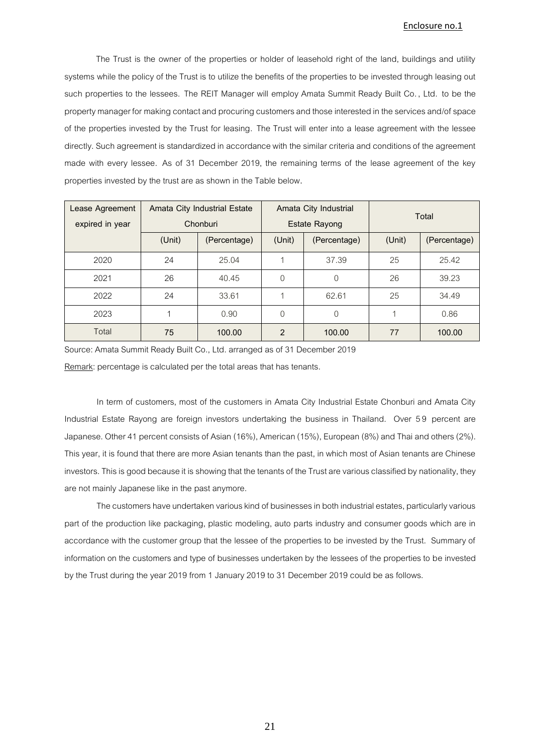The Trust is the owner of the properties or holder of leasehold right of the land, buildings and utility systems while the policy of the Trust is to utilize the benefits of the properties to be invested through leasing out such properties to the lessees. The REIT Manager will employ Amata Summit Ready Built Co. , Ltd. to be the property manager for making contact and procuring customers and those interested in the services and/of space of the properties invested by the Trust for leasing. The Trust will enter into a lease agreement with the lessee directly. Such agreement is standardized in accordance with the similar criteria and conditions of the agreement made with every lessee. As of 31 December 2019, the remaining terms of the lease agreement of the key properties invested by the trust are as shown in the Table below**.**

| Lease Agreement | Amata City Industrial Estate<br>Amata City Industrial<br>Total |              |                        |                      |        |              |
|-----------------|----------------------------------------------------------------|--------------|------------------------|----------------------|--------|--------------|
| expired in year | Chonburi                                                       |              |                        | <b>Estate Rayong</b> |        |              |
|                 | (Unit)                                                         | (Percentage) | (Unit)<br>(Percentage) |                      | (Unit) | (Percentage) |
| 2020            | 24                                                             | 25.04        |                        | 37.39                | 25     | 25.42        |
| 2021            | 26                                                             | 40.45        | $\Omega$               | $\Omega$             | 26     | 39.23        |
| 2022            | 24                                                             | 33.61        |                        | 62.61                | 25     | 34.49        |
| 2023            |                                                                | 0.90         | $\Omega$               | 0                    |        | 0.86         |
| Total           | 75                                                             | 100.00       | $\mathcal{P}$          | 100.00               | 77     | 100.00       |

Source: Amata Summit Ready Built Co., Ltd. arranged as of 31 December 2019

Remark: percentage is calculated per the total areas that has tenants.

In term of customers, most of the customers in Amata City Industrial Estate Chonburi and Amata City Industrial Estate Rayong are foreign investors undertaking the business in Thailand. Over 59 percent are Japanese. Other 41 percent consists of Asian (16%), American (15%), European (8%) and Thai and others (2%). This year, it is found that there are more Asian tenants than the past, in which most of Asian tenants are Chinese investors. This is good because it is showing that the tenants of the Trust are various classified by nationality, they are not mainly Japanese like in the past anymore.

The customers have undertaken various kind of businesses in both industrial estates, particularly various part of the production like packaging, plastic modeling, auto parts industry and consumer goods which are in accordance with the customer group that the lessee of the properties to be invested by the Trust. Summary of information on the customers and type of businesses undertaken by the lessees of the properties to be invested by the Trust during the year 2019 from 1 January 2019 to 31 December 2019 could be as follows.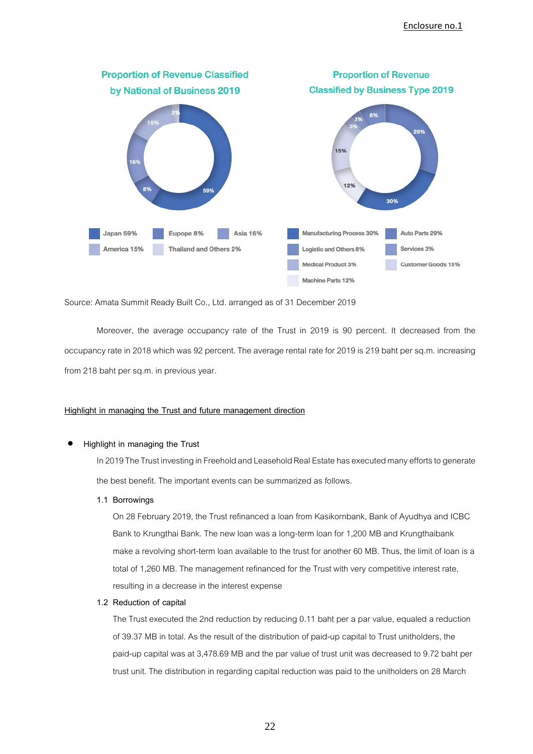

Source: Amata Summit Ready Built Co., Ltd. arranged as of 31 December 2019

Moreover, the average occupancy rate of the Trust in 2019 is 90 percent. It decreased from the occupancy rate in 2018 which was 92 percent. The average rental rate for 2019 is 219 baht per sq.m. increasing from 218 baht per sq.m. in previous year.

### **Highlight in managing the Trust and future management direction**

#### • **Highlight in managing the Trust**

In 2019 The Trust investing in Freehold and Leasehold Real Estate has executed many efforts to generate the best benefit. The important events can be summarized as follows.

**1.1 Borrowings** 

On 28 February 2019, the Trust refinanced a loan from Kasikornbank, Bank of Ayudhya and ICBC Bank to Krungthai Bank. The new loan was a long-term loan for 1,200 MB and Krungthaibank make a revolving short-term loan available to the trust for another 60 MB. Thus, the limit of loan is a total of 1,260 MB. The management refinanced for the Trust with very competitive interest rate, resulting in a decrease in the interest expense

#### **1.2 Reduction of capital**

The Trust executed the 2nd reduction by reducing 0.11 baht per a par value, equaled a reduction of 39.37 MB in total. As the result of the distribution of paid-up capital to Trust unitholders, the paid-up capital was at 3,478.69 MB and the par value of trust unit was decreased to 9.72 baht per trust unit. The distribution in regarding capital reduction was paid to the unitholders on 28 March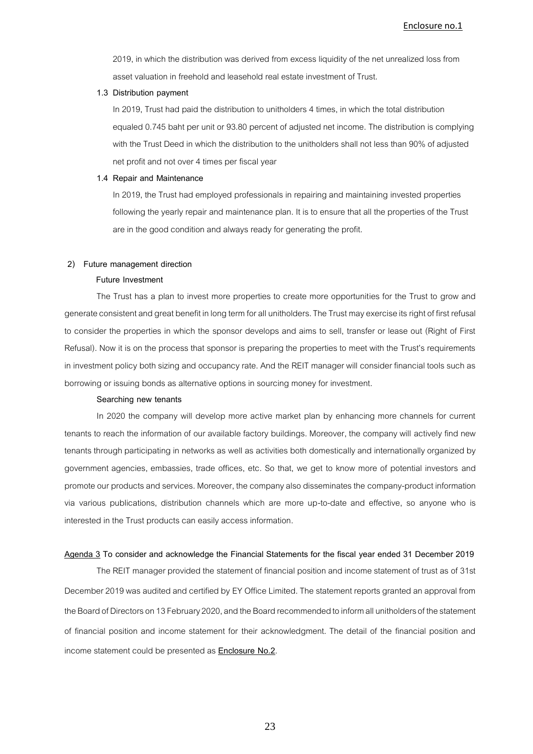2019, in which the distribution was derived from excess liquidity of the net unrealized loss from asset valuation in freehold and leasehold real estate investment of Trust.

#### **1.3 Distribution payment**

In 2019, Trust had paid the distribution to unitholders 4 times, in which the total distribution equaled 0.745 baht per unit or 93.80 percent of adjusted net income. The distribution is complying with the Trust Deed in which the distribution to the unitholders shall not less than 90% of adjusted net profit and not over 4 times per fiscal year

#### **1.4 Repair and Maintenance**

In 2019, the Trust had employed professionals in repairing and maintaining invested properties following the yearly repair and maintenance plan. It is to ensure that all the properties of the Trust are in the good condition and always ready for generating the profit.

#### **2) Future management direction**

#### **Future Investment**

The Trust has a plan to invest more properties to create more opportunities for the Trust to grow and generate consistent and great benefit in long term for all unitholders. The Trust may exercise itsrightof first refusal to consider the properties in which the sponsor develops and aims to sell, transfer or lease out (Right of First Refusal). Now it is on the process that sponsor is preparing the properties to meet with the Trust's requirements in investment policy both sizing and occupancy rate. And the REIT manager will consider financial tools such as borrowing or issuing bonds as alternative options in sourcing money for investment.

#### **Searching new tenants**

In 2020 the company will develop more active market plan by enhancing more channels for current tenants to reach the information of our available factory buildings. Moreover, the company will actively find new tenants through participating in networks as well as activities both domestically and internationally organized by government agencies, embassies, trade offices, etc. So that, we get to know more of potential investors and promote our products and services. Moreover, the company also disseminates the company-product information via various publications, distribution channels which are more up-to-date and effective, so anyone who is interested in the Trust products can easily access information.

#### **Agenda 3 To consider and acknowledge the Financial Statements for the fiscal year ended 31 December 2019**

The REIT manager provided the statement of financial position and income statement of trust as of 31st December 2019 was audited and certified by EY Office Limited. The statement reports granted an approval from the Board of Directors on 13February 2020, and the Board recommended to inform all unitholders of the statement of financial position and income statement for their acknowledgment. The detail of the financial position and income statement could be presented as **Enclosure No.2**.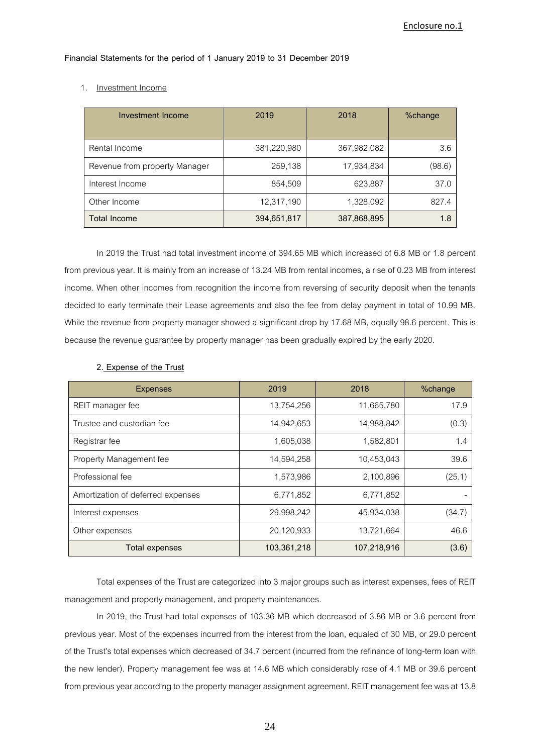**Financial Statements for the period of 1 January 2019 to 31 December 2019**

#### 1. Investment Income

| Investment Income             | 2019        | 2018        | %change |
|-------------------------------|-------------|-------------|---------|
| Rental Income                 | 381,220,980 | 367,982,082 | 3.6     |
| Revenue from property Manager | 259,138     | 17,934,834  | (98.6)  |
| Interest Income               | 854,509     | 623,887     | 37.0    |
| Other Income                  | 12,317,190  | 1,328,092   | 827.4   |
| <b>Total Income</b>           | 394,651,817 | 387,868,895 | 1.8     |

In 2019 the Trust had total investment income of 394.65 MB which increased of 6.8 MB or 1.8 percent from previous year. It is mainly from an increase of 13.24 MB from rental incomes, a rise of 0.23 MB from interest income. When other incomes from recognition the income from reversing of security deposit when the tenants decided to early terminate their Lease agreements and also the fee from delay payment in total of 10.99 MB. While the revenue from property manager showed a significant drop by 17.68 MB, equally 98.6 percent. This is because the revenue guarantee by property manager has been gradually expired by the early 2020.

| <b>Expenses</b>                   | 2019        | 2018        | %change |
|-----------------------------------|-------------|-------------|---------|
| REIT manager fee                  | 13,754,256  | 11,665,780  | 17.9    |
| Trustee and custodian fee         | 14,942,653  | 14,988,842  | (0.3)   |
| Registrar fee                     | 1,605,038   | 1,582,801   | 1.4     |
| Property Management fee           | 14,594,258  | 10,453,043  | 39.6    |
| Professional fee                  | 1,573,986   | 2,100,896   | (25.1)  |
| Amortization of deferred expenses | 6,771,852   | 6,771,852   |         |
| Interest expenses                 | 29,998,242  | 45,934,038  | (34.7)  |
| Other expenses                    | 20,120,933  | 13,721,664  | 46.6    |
| <b>Total expenses</b>             | 103,361,218 | 107,218,916 | (3.6)   |

## **2. Expense of the Trust**

Total expenses of the Trust are categorized into 3 major groups such as interest expenses, fees of REIT management and property management, and property maintenances.

In 2019, the Trust had total expenses of 103.36 MB which decreased of 3.86 MB or 3.6 percent from previous year. Most of the expenses incurred from the interest from the loan, equaled of 30 MB, or 29.0 percent of the Trust's total expenses which decreased of 34.7 percent (incurred from the refinance of long-term loan with the new lender). Property management fee was at 14.6 MB which considerably rose of 4.1 MB or 39.6 percent from previous year according to the property manager assignment agreement. REIT management fee was at 13.8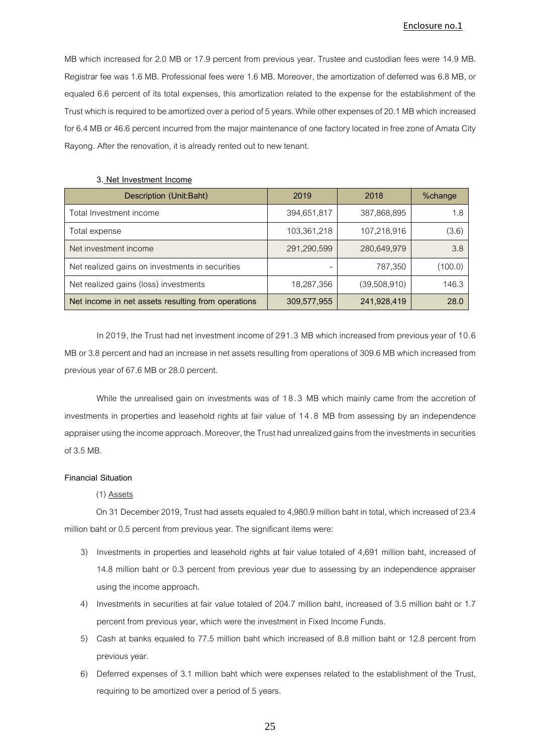MB which increased for 2.0 MB or 17.9 percent from previous year. Trustee and custodian fees were 14.9 MB. Registrar fee was 1.6 MB. Professional fees were 1.6 MB. Moreover, the amortization of deferred was 6.8 MB, or equaled 6.6 percent of its total expenses, this amortization related to the expense for the establishment of the Trust which is required to be amortized over a period of 5years. While other expenses of 20.1 MB which increased for 6.4 MB or 46.6 percent incurred from the major maintenance of one factory located in free zone of Amata City Rayong. After the renovation, it is already rented out to new tenant.

| Description (Unit:Baht)                            | 2019        | 2018         | %change |
|----------------------------------------------------|-------------|--------------|---------|
| Total Investment income                            | 394,651,817 | 387,868,895  | 1.8     |
| Total expense                                      | 103,361,218 | 107,218,916  | (3.6)   |
| Net investment income                              | 291,290,599 | 280,649,979  | 3.8     |
| Net realized gains on investments in securities    |             | 787,350      | (100.0) |
| Net realized gains (loss) investments              | 18,287,356  | (39,508,910) | 146.3   |
| Net income in net assets resulting from operations | 309,577,955 | 241,928,419  | 28.0    |

#### **3. Net Investment Income**

In 2019, the Trusthad net investment income of 291.3 MB which increased from previous year of 10.6 MB or 3.8 percent and had an increase in net assets resulting from operations of 309.6 MB which increased from previous year of 67.6 MB or 28.0 percent.

While the unrealised gain on investments was of 18.3 MB which mainly came from the accretion of investments in properties and leasehold rights at fair value of 1 4 . 8 MB from assessing by an independence appraiser using the income approach. Moreover, the Trusthad unrealized gains from the investments in securities of 3.5 MB.

#### **Financial Situation**

#### (1) Assets

On 31 December 2019, Trust had assets equaled to 4,980.9 million baht in total, which increased of 23.4 million baht or 0.5 percent from previous year. The significant items were:

- 3) Investments in properties and leasehold rights at fair value totaled of 4,691 million baht, increased of 14.8 million baht or 0.3 percent from previous year due to assessing by an independence appraiser using the income approach.
- 4) Investments in securities at fair value totaled of 204.7 million baht, increased of 3.5 million baht or 1.7 percent from previous year, which were the investment in Fixed Income Funds.
- 5) Cash at banks equaled to 77.5 million baht which increased of 8.8 million baht or 12.8 percent from previous year.
- 6) Deferred expenses of 3.1 million baht which were expenses related to the establishment of the Trust, requiring to be amortized over a period of 5years.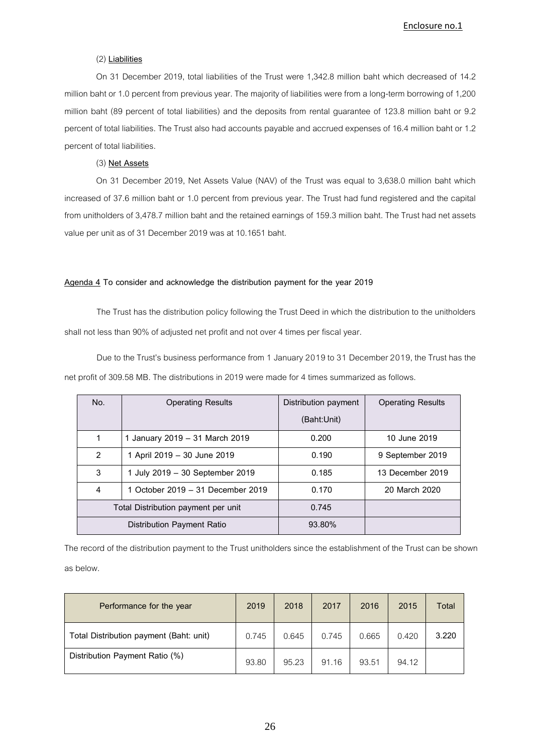## (2) **Liabilities**

On 31 December 2019, total liabilities of the Trust were 1,342.8 million baht which decreased of 14.2 million baht or 1.0 percent from previous year. The majority of liabilities were from a long-term borrowing of 1,200 million baht (89 percent of total liabilities) and the deposits from rental guarantee of 123.8 million baht or 9.2 percent of total liabilities. The Trust also had accounts payable and accrued expenses of 16.4 million baht or 1.2 percent of total liabilities.

## (3) **Net Assets**

On 31 December 2019, Net Assets Value (NAV) of the Trust was equal to 3,638.0 million baht which increased of 37.6 million baht or 1.0 percent from previous year. The Trust had fund registered and the capital from unitholders of 3,478.7 million baht and the retained earnings of 159.3 million baht. The Trust had net assets value per unit as of 31 December 2019 was at 10.1651 baht.

## **Agenda 4 To consider and acknowledge the distribution payment for the year 2019**

The Trust has the distribution policy following the Trust Deed in which the distribution to the unitholders shall not less than 90% of adjusted net profit and not over 4 times per fiscal year.

Due to the Trust's business performance from 1 January 2019 to 31 December 2019, the Trust has the net profit of 309.58 MB. The distributions in 2019 were made for 4times summarized as follows.

| No. | <b>Operating Results</b>            | Distribution payment | <b>Operating Results</b> |
|-----|-------------------------------------|----------------------|--------------------------|
|     |                                     | (Baht:Unit)          |                          |
|     | 1 January 2019 - 31 March 2019      | 0.200                | 10 June 2019             |
| 2   | 1 April 2019 - 30 June 2019         | 0.190                | 9 September 2019         |
| 3   | July 2019 - 30 September 2019       | 0.185                | 13 December 2019         |
| 4   | 1 October 2019 – 31 December 2019   | 0.170                | 20 March 2020            |
|     | Total Distribution payment per unit | 0.745                |                          |
|     | Distribution Payment Ratio          | 93.80%               |                          |

The record of the distribution payment to the Trust unitholders since the establishment of the Trust can be shown as below.

| Performance for the year                | 2019  | 2018  | 2017  | 2016  | 2015  | Total |
|-----------------------------------------|-------|-------|-------|-------|-------|-------|
| Total Distribution payment (Baht: unit) | 0.745 | 0.645 | 0.745 | 0.665 | 0.420 | 3.220 |
| Distribution Payment Ratio (%)          | 93.80 | 95.23 | 91.16 | 93.51 | 94.12 |       |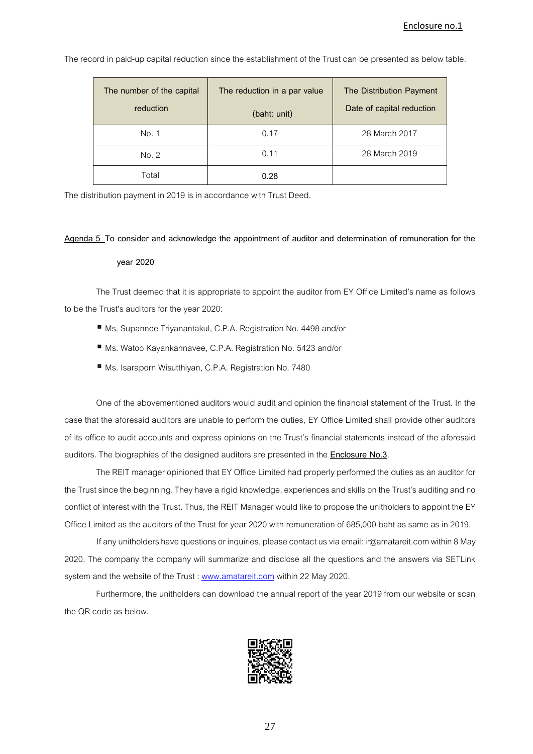**The number of the capital reduction The reduction in a par value (baht: unit) The Distribution Payment Date of capital reduction** No.1 0.17 28 March 2017 No. 2 0.11 28 March 2019 Total **0.28**

The record in paid-up capital reduction since the establishment of the Trust can be presented as below table.

The distribution payment in 2019 is in accordance with Trust Deed.

#### **Agenda 5 To consider and acknowledge the appointment of auditor and determination of remuneration for the**

#### **year 2020**

The Trust deemed that it is appropriate to appoint the auditor from EY Office Limited's name as follows to be the Trust's auditors for the year 2020:

- Ms. Supannee Triyanantakul, C.P.A. Registration No. 4498 and/or
- Ms. Watoo Kayankannavee, C.P.A. Registration No. 5423 and/or
- Ms. Isaraporn Wisutthiyan, C.P.A. Registration No. 7480

One of the abovementioned auditors would audit and opinion the financial statement of the Trust. In the case that the aforesaid auditors are unable to perform the duties, EY Office Limited shall provide other auditors of its office to audit accounts and express opinions on the Trust's financial statements instead of the aforesaid auditors. The biographies of the designed auditors are presented in the **Enclosure No.3**.

The REIT manager opinioned that EY Office Limited had properly performed the duties as an auditor for the Trust since the beginning. They have a rigid knowledge, experiences and skills on the Trust's auditing and no conflict of interest with the Trust. Thus, the REIT Manager would like to propose the unitholders to appoint the EY Office Limited as the auditors of the Trust for year 2020 with remuneration of 685,000 baht as same as in 2019.

If any unitholders have questions or inquiries, please contact us via email: ir@amatareit.com within 8 May 2020. The company the company will summarize and disclose all the questions and the answers via SETLink system and the website of the Trust : [www.amatareit.com](http://www.amatareit.com/) within 22 May 2020.

Furthermore, the unitholders can download the annual report of the year 2019 from our website or scan the QR code as below.

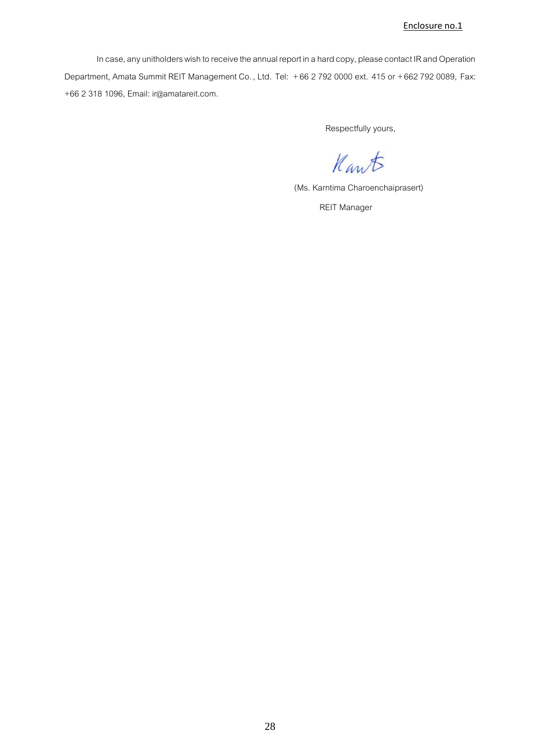In case, any unitholders wish to receive the annual report in a hard copy, please contact IR and Operation Department, Amata Summit REIT Management Co. , Ltd. Tel: +66 2 792 0000 ext. 415 or +662 792 0089, Fax: +66 2 318 1096, Email: ir@amatareit.com.

Respectfully yours,

Kant

(Ms. Karntima Charoenchaiprasert)

REIT Manager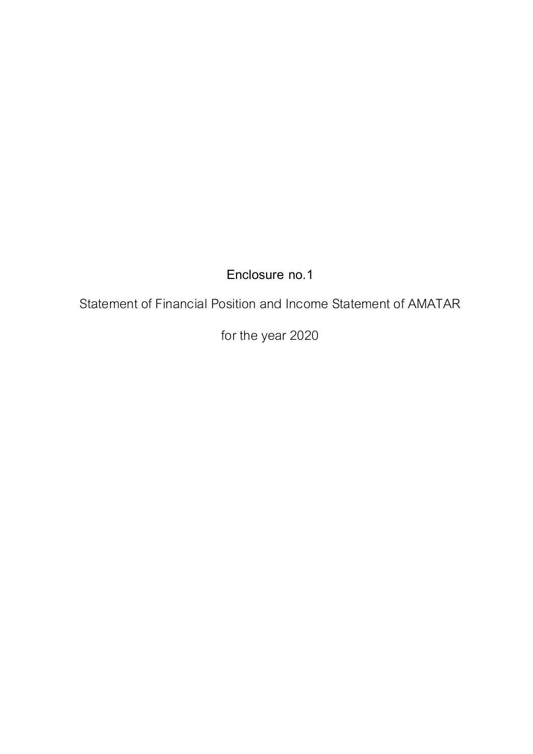Statement of Financial Position and Income Statement of AMATAR

for the year 2020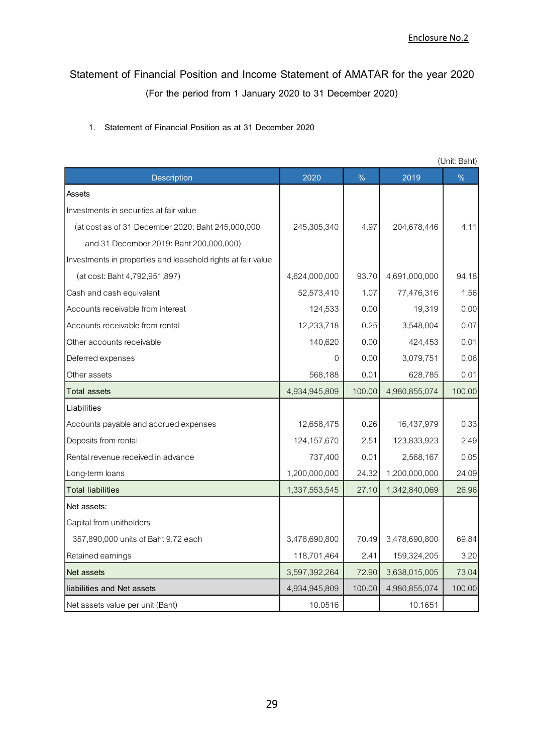## **Statement of Financial Position and Income Statement of AMATAR for the year 2020 (For the period from 1 January 2020 to 31 December 2020)**

## **1. Statement of Financial Position as at 31 December 2020**

|                                                              |               |        |               | (Unit: Baht) |
|--------------------------------------------------------------|---------------|--------|---------------|--------------|
| Description                                                  | 2020          | $\%$   | 2019          | $\%$         |
| Assets                                                       |               |        |               |              |
| Investments in securities at fair value                      |               |        |               |              |
| (at cost as of 31 December 2020: Baht 245,000,000            | 245,305,340   | 4.97   | 204,678,446   | 4.11         |
| and 31 December 2019: Baht 200,000,000)                      |               |        |               |              |
| Investments in properties and leasehold rights at fair value |               |        |               |              |
| (at cost: Baht 4,792,951,897)                                | 4,624,000,000 | 93.70  | 4,691,000,000 | 94.18        |
| Cash and cash equivalent                                     | 52,573,410    | 1.07   | 77,476,316    | 1.56         |
| Accounts receivable from interest                            | 124,533       | 0.00   | 19,319        | 0.00         |
| Accounts receivable from rental                              | 12,233,718    | 0.25   | 3,548,004     | 0.07         |
| Other accounts receivable                                    | 140,620       | 0.00   | 424,453       | 0.01         |
| Deferred expenses                                            | $\Omega$      | 0.00   | 3,079,751     | 0.06         |
| Other assets                                                 | 568,188       | 0.01   | 628,785       | 0.01         |
| <b>Total assets</b>                                          | 4,934,945,809 | 100.00 | 4,980,855,074 | 100.00       |
| Liabilities                                                  |               |        |               |              |
| Accounts payable and accrued expenses                        | 12,658,475    | 0.26   | 16,437,979    | 0.33         |
| Deposits from rental                                         | 124, 157, 670 | 2.51   | 123,833,923   | 2.49         |
| Rental revenue received in advance                           | 737,400       | 0.01   | 2,568,167     | 0.05         |
| Long-term loans                                              | 1,200,000,000 | 24.32  | 1,200,000,000 | 24.09        |
| <b>Total liabilities</b>                                     | 1,337,553,545 | 27.10  | 1,342,840,069 | 26.96        |
| Net assets:                                                  |               |        |               |              |
| Capital from unitholders                                     |               |        |               |              |
| 357,890,000 units of Baht 9.72 each                          | 3,478,690,800 | 70.49  | 3,478,690,800 | 69.84        |
| Retained earnings                                            | 118,701,464   | 2.41   | 159,324,205   | 3.20         |
| Net assets                                                   | 3,597,392,264 | 72.90  | 3,638,015,005 | 73.04        |
| liabilities and Net assets                                   | 4,934,945,809 | 100.00 | 4,980,855,074 | 100.00       |
| Net assets value per unit (Baht)                             | 10.0516       |        | 10.1651       |              |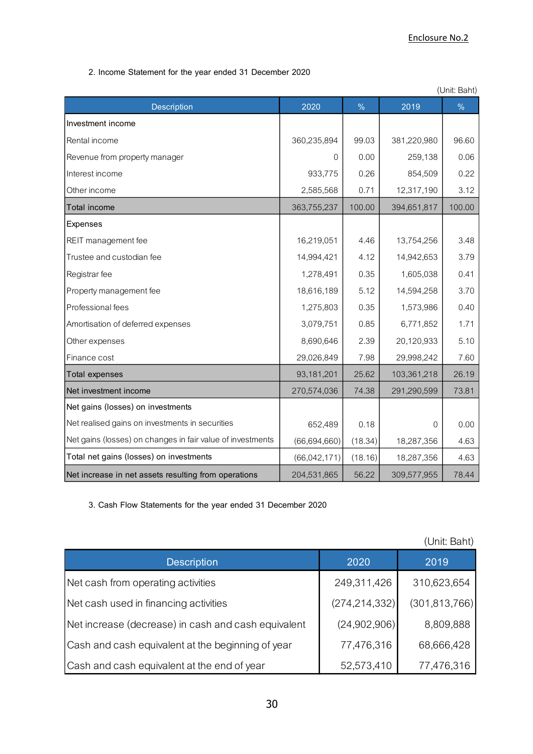**2. Income Statement for the year ended 31 December 2020**

| (Unit: Baht)                                               |              |               |                |               |
|------------------------------------------------------------|--------------|---------------|----------------|---------------|
| Description                                                | 2020         | $\frac{9}{6}$ | 2019           | $\frac{9}{6}$ |
| Investment income                                          |              |               |                |               |
| Rental income                                              | 360,235,894  | 99.03         | 381,220,980    | 96.60         |
| Revenue from property manager                              | $\Omega$     | 0.00          | 259,138        | 0.06          |
| Interest income                                            | 933,775      | 0.26          | 854,509        | 0.22          |
| Other income                                               | 2,585,568    | 0.71          | 12,317,190     | 3.12          |
| <b>Total income</b>                                        | 363,755,237  | 100.00        | 394,651,817    | 100.00        |
| Expenses                                                   |              |               |                |               |
| REIT management fee                                        | 16,219,051   | 4.46          | 13,754,256     | 3.48          |
| Trustee and custodian fee                                  | 14,994,421   | 4.12          | 14,942,653     | 3.79          |
| Registrar fee                                              | 1,278,491    | 0.35          | 1,605,038      | 0.41          |
| Property management fee                                    | 18,616,189   | 5.12          | 14,594,258     | 3.70          |
| Professional fees                                          | 1,275,803    | 0.35          | 1,573,986      | 0.40          |
| Amortisation of deferred expenses                          | 3,079,751    | 0.85          | 6,771,852      | 1.71          |
| Other expenses                                             | 8,690,646    | 2.39          | 20,120,933     | 5.10          |
| Finance cost                                               | 29,026,849   | 7.98          | 29,998,242     | 7.60          |
| <b>Total expenses</b>                                      | 93,181,201   | 25.62         | 103,361,218    | 26.19         |
| Net investment income                                      | 270,574,036  | 74.38         | 291,290,599    | 73.81         |
| Net gains (losses) on investments                          |              |               |                |               |
| Net realised gains on investments in securities            | 652,489      | 0.18          | $\overline{0}$ | 0.00          |
| Net gains (losses) on changes in fair value of investments | (66,694,660) | (18.34)       | 18,287,356     | 4.63          |
| Total net gains (losses) on investments                    | (66,042,171) | (18.16)       | 18,287,356     | 4.63          |
| Net increase in net assets resulting from operations       | 204,531,865  | 56.22         | 309,577,955    | 78.44         |

**3. Cash Flow Statements for the year ended 31 December 2020**

|                                                     |                 | (Unit: Baht)    |
|-----------------------------------------------------|-----------------|-----------------|
| <b>Description</b>                                  | 2020            | 2019            |
| Net cash from operating activities                  | 249,311,426     | 310,623,654     |
| Net cash used in financing activities               | (274, 214, 332) | (301, 813, 766) |
| Net increase (decrease) in cash and cash equivalent | (24,902,906)    | 8,809,888       |
| Cash and cash equivalent at the beginning of year   | 77,476,316      | 68,666,428      |
| Cash and cash equivalent at the end of year         | 52,573,410      | 77,476,316      |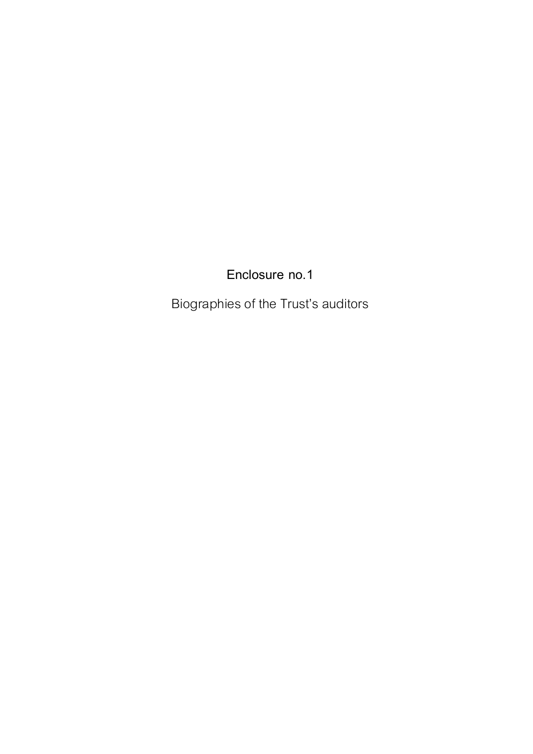Biographies of the Trust's auditors